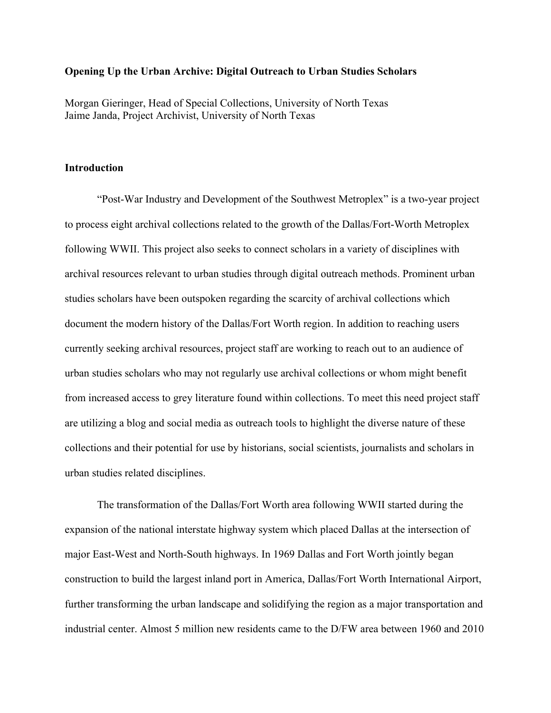#### **Opening Up the Urban Archive: Digital Outreach to Urban Studies Scholars**

Morgan Gieringer, Head of Special Collections, University of North Texas Jaime Janda, Project Archivist, University of North Texas

### **Introduction**

"Post-War Industry and Development of the Southwest Metroplex" is a two-year project to process eight archival collections related to the growth of the Dallas/Fort-Worth Metroplex following WWII. This project also seeks to connect scholars in a variety of disciplines with archival resources relevant to urban studies through digital outreach methods. Prominent urban studies scholars have been outspoken regarding the scarcity of archival collections which document the modern history of the Dallas/Fort Worth region. In addition to reaching users currently seeking archival resources, project staff are working to reach out to an audience of urban studies scholars who may not regularly use archival collections or whom might benefit from increased access to grey literature found within collections. To meet this need project staff are utilizing a blog and social media as outreach tools to highlight the diverse nature of these collections and their potential for use by historians, social scientists, journalists and scholars in urban studies related disciplines.

The transformation of the Dallas/Fort Worth area following WWII started during the expansion of the national interstate highway system which placed Dallas at the intersection of major East-West and North-South highways. In 1969 Dallas and Fort Worth jointly began construction to build the largest inland port in America, Dallas/Fort Worth International Airport, further transforming the urban landscape and solidifying the region as a major transportation and industrial center. Almost 5 million new residents came to the D/FW area between 1960 and 2010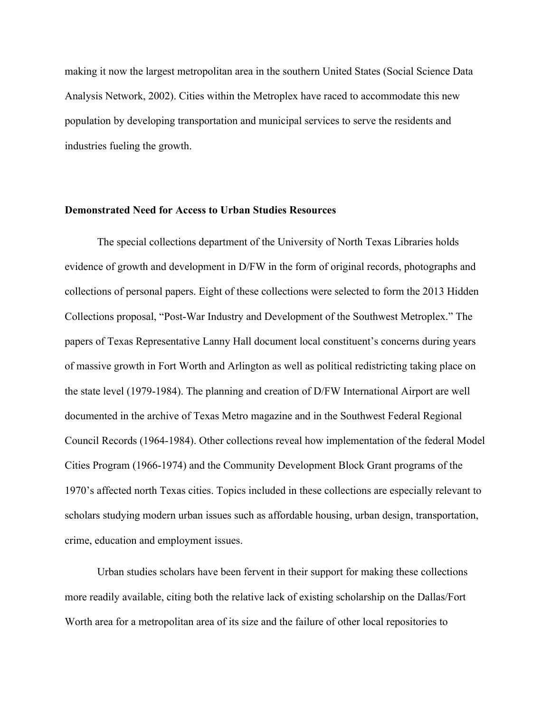making it now the largest metropolitan area in the southern United States (Social Science Data Analysis Network, 2002). Cities within the Metroplex have raced to accommodate this new population by developing transportation and municipal services to serve the residents and industries fueling the growth.

## **Demonstrated Need for Access to Urban Studies Resources**

The special collections department of the University of North Texas Libraries holds evidence of growth and development in D/FW in the form of original records, photographs and collections of personal papers. Eight of these collections were selected to form the 2013 Hidden Collections proposal, "Post-War Industry and Development of the Southwest Metroplex." The papers of Texas Representative Lanny Hall document local constituent's concerns during years of massive growth in Fort Worth and Arlington as well as political redistricting taking place on the state level (1979-1984). The planning and creation of D/FW International Airport are well documented in the archive of Texas Metro magazine and in the Southwest Federal Regional Council Records (1964-1984). Other collections reveal how implementation of the federal Model Cities Program (1966-1974) and the Community Development Block Grant programs of the 1970's affected north Texas cities. Topics included in these collections are especially relevant to scholars studying modern urban issues such as affordable housing, urban design, transportation, crime, education and employment issues.

Urban studies scholars have been fervent in their support for making these collections more readily available, citing both the relative lack of existing scholarship on the Dallas/Fort Worth area for a metropolitan area of its size and the failure of other local repositories to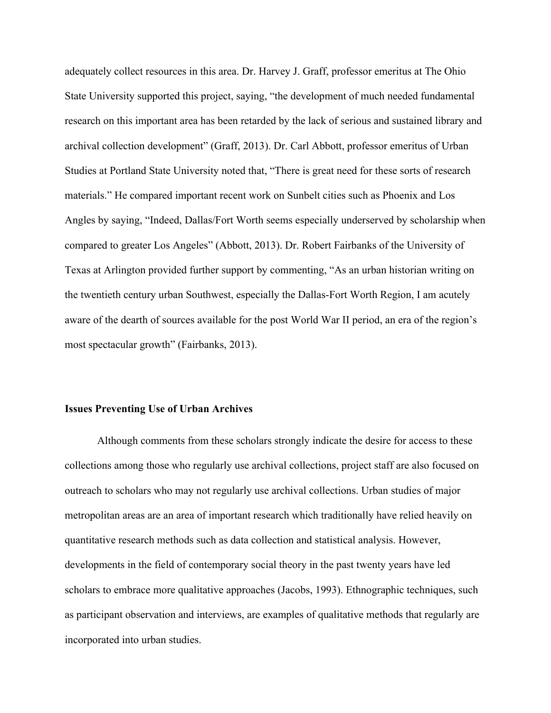adequately collect resources in this area. Dr. Harvey J. Graff, professor emeritus at The Ohio State University supported this project, saying, "the development of much needed fundamental research on this important area has been retarded by the lack of serious and sustained library and archival collection development" (Graff, 2013). Dr. Carl Abbott, professor emeritus of Urban Studies at Portland State University noted that, "There is great need for these sorts of research materials." He compared important recent work on Sunbelt cities such as Phoenix and Los Angles by saying, "Indeed, Dallas/Fort Worth seems especially underserved by scholarship when compared to greater Los Angeles" (Abbott, 2013). Dr. Robert Fairbanks of the University of Texas at Arlington provided further support by commenting, "As an urban historian writing on the twentieth century urban Southwest, especially the Dallas-Fort Worth Region, I am acutely aware of the dearth of sources available for the post World War II period, an era of the region's most spectacular growth" (Fairbanks, 2013).

## **Issues Preventing Use of Urban Archives**

Although comments from these scholars strongly indicate the desire for access to these collections among those who regularly use archival collections, project staff are also focused on outreach to scholars who may not regularly use archival collections. Urban studies of major metropolitan areas are an area of important research which traditionally have relied heavily on quantitative research methods such as data collection and statistical analysis. However, developments in the field of contemporary social theory in the past twenty years have led scholars to embrace more qualitative approaches (Jacobs, 1993). Ethnographic techniques, such as participant observation and interviews, are examples of qualitative methods that regularly are incorporated into urban studies.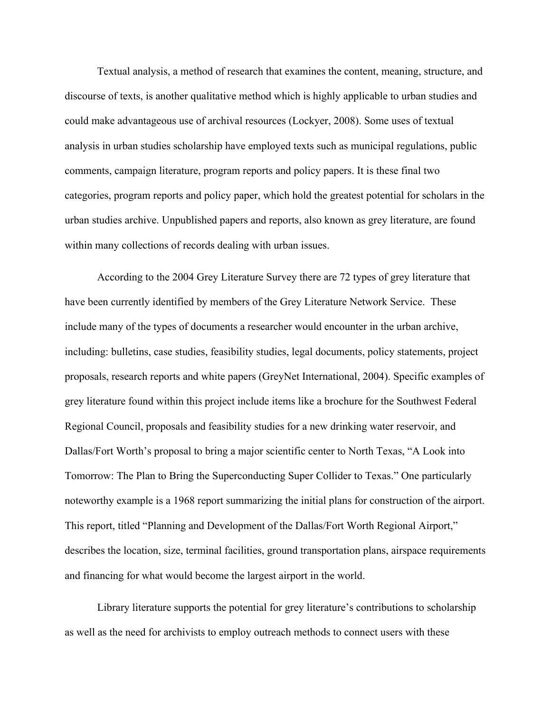Textual analysis, a method of research that examines the content, meaning, structure, and discourse of texts, is another qualitative method which is highly applicable to urban studies and could make advantageous use of archival resources (Lockyer, 2008). Some uses of textual analysis in urban studies scholarship have employed texts such as municipal regulations, public comments, campaign literature, program reports and policy papers. It is these final two categories, program reports and policy paper, which hold the greatest potential for scholars in the urban studies archive. Unpublished papers and reports, also known as grey literature, are found within many collections of records dealing with urban issues.

According to the 2004 Grey Literature Survey there are 72 types of grey literature that have been currently identified by members of the Grey Literature Network Service. These include many of the types of documents a researcher would encounter in the urban archive, including: bulletins, case studies, feasibility studies, legal documents, policy statements, project proposals, research reports and white papers (GreyNet International, 2004). Specific examples of grey literature found within this project include items like a brochure for the Southwest Federal Regional Council, proposals and feasibility studies for a new drinking water reservoir, and Dallas/Fort Worth's proposal to bring a major scientific center to North Texas, "A Look into Tomorrow: The Plan to Bring the Superconducting Super Collider to Texas." One particularly noteworthy example is a 1968 report summarizing the initial plans for construction of the airport. This report, titled "Planning and Development of the Dallas/Fort Worth Regional Airport," describes the location, size, terminal facilities, ground transportation plans, airspace requirements and financing for what would become the largest airport in the world.

Library literature supports the potential for grey literature's contributions to scholarship as well as the need for archivists to employ outreach methods to connect users with these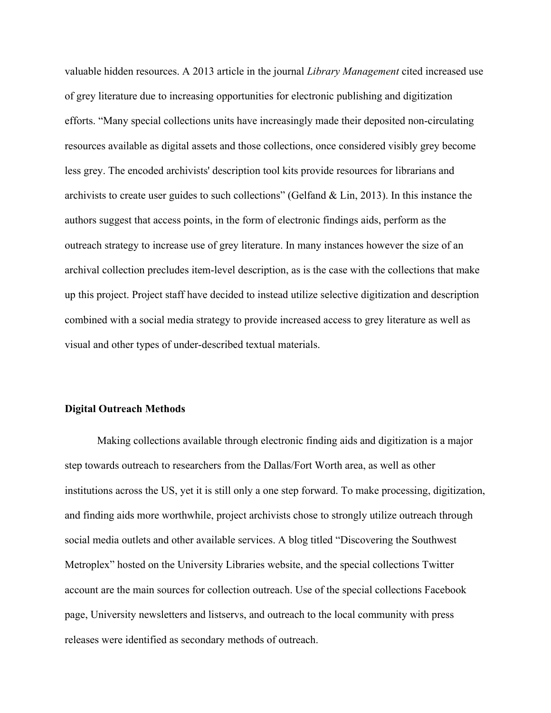valuable hidden resources. A 2013 article in the journal *Library Management* cited increased use of grey literature due to increasing opportunities for electronic publishing and digitization efforts. "Many special collections units have increasingly made their deposited non-circulating resources available as digital assets and those collections, once considered visibly grey become less grey. The encoded archivists' description tool kits provide resources for librarians and archivists to create user guides to such collections" (Gelfand & Lin, 2013). In this instance the authors suggest that access points, in the form of electronic findings aids, perform as the outreach strategy to increase use of grey literature. In many instances however the size of an archival collection precludes item-level description, as is the case with the collections that make up this project. Project staff have decided to instead utilize selective digitization and description combined with a social media strategy to provide increased access to grey literature as well as visual and other types of under-described textual materials.

#### **Digital Outreach Methods**

Making collections available through electronic finding aids and digitization is a major step towards outreach to researchers from the Dallas/Fort Worth area, as well as other institutions across the US, yet it is still only a one step forward. To make processing, digitization, and finding aids more worthwhile, project archivists chose to strongly utilize outreach through social media outlets and other available services. A blog titled "Discovering the Southwest Metroplex" hosted on the University Libraries website, and the special collections Twitter account are the main sources for collection outreach. Use of the special collections Facebook page, University newsletters and listservs, and outreach to the local community with press releases were identified as secondary methods of outreach.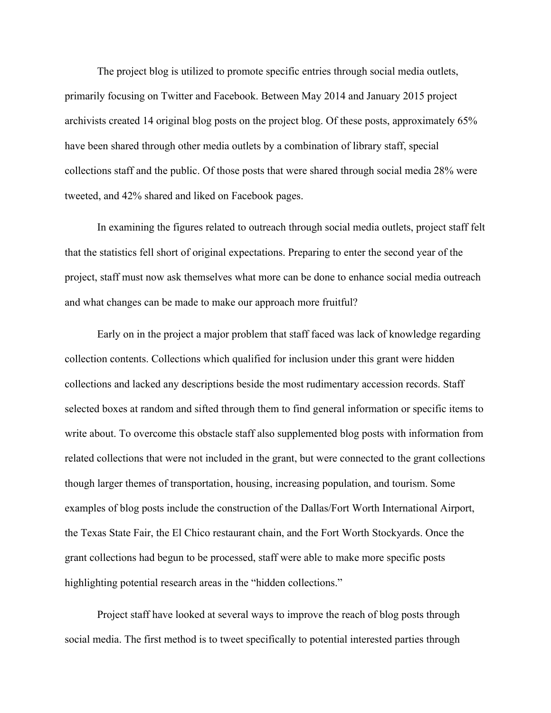The project blog is utilized to promote specific entries through social media outlets, primarily focusing on Twitter and Facebook. Between May 2014 and January 2015 project archivists created 14 original blog posts on the project blog. Of these posts, approximately 65% have been shared through other media outlets by a combination of library staff, special collections staff and the public. Of those posts that were shared through social media 28% were tweeted, and 42% shared and liked on Facebook pages.

In examining the figures related to outreach through social media outlets, project staff felt that the statistics fell short of original expectations. Preparing to enter the second year of the project, staff must now ask themselves what more can be done to enhance social media outreach and what changes can be made to make our approach more fruitful?

Early on in the project a major problem that staff faced was lack of knowledge regarding collection contents. Collections which qualified for inclusion under this grant were hidden collections and lacked any descriptions beside the most rudimentary accession records. Staff selected boxes at random and sifted through them to find general information or specific items to write about. To overcome this obstacle staff also supplemented blog posts with information from related collections that were not included in the grant, but were connected to the grant collections though larger themes of transportation, housing, increasing population, and tourism. Some examples of blog posts include the construction of the Dallas/Fort Worth International Airport, the Texas State Fair, the El Chico restaurant chain, and the Fort Worth Stockyards. Once the grant collections had begun to be processed, staff were able to make more specific posts highlighting potential research areas in the "hidden collections."

Project staff have looked at several ways to improve the reach of blog posts through social media. The first method is to tweet specifically to potential interested parties through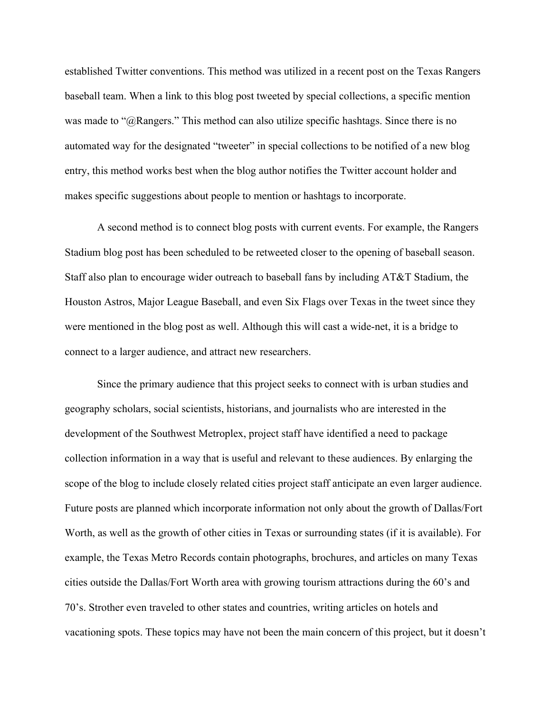established Twitter conventions. This method was utilized in a recent post on the Texas Rangers baseball team. When a link to this blog post tweeted by special collections, a specific mention was made to "@Rangers." This method can also utilize specific hashtags. Since there is no automated way for the designated "tweeter" in special collections to be notified of a new blog entry, this method works best when the blog author notifies the Twitter account holder and makes specific suggestions about people to mention or hashtags to incorporate.

A second method is to connect blog posts with current events. For example, the Rangers Stadium blog post has been scheduled to be retweeted closer to the opening of baseball season. Staff also plan to encourage wider outreach to baseball fans by including AT&T Stadium, the Houston Astros, Major League Baseball, and even Six Flags over Texas in the tweet since they were mentioned in the blog post as well. Although this will cast a wide-net, it is a bridge to connect to a larger audience, and attract new researchers.

Since the primary audience that this project seeks to connect with is urban studies and geography scholars, social scientists, historians, and journalists who are interested in the development of the Southwest Metroplex, project staff have identified a need to package collection information in a way that is useful and relevant to these audiences. By enlarging the scope of the blog to include closely related cities project staff anticipate an even larger audience. Future posts are planned which incorporate information not only about the growth of Dallas/Fort Worth, as well as the growth of other cities in Texas or surrounding states (if it is available). For example, the Texas Metro Records contain photographs, brochures, and articles on many Texas cities outside the Dallas/Fort Worth area with growing tourism attractions during the 60's and 70's. Strother even traveled to other states and countries, writing articles on hotels and vacationing spots. These topics may have not been the main concern of this project, but it doesn't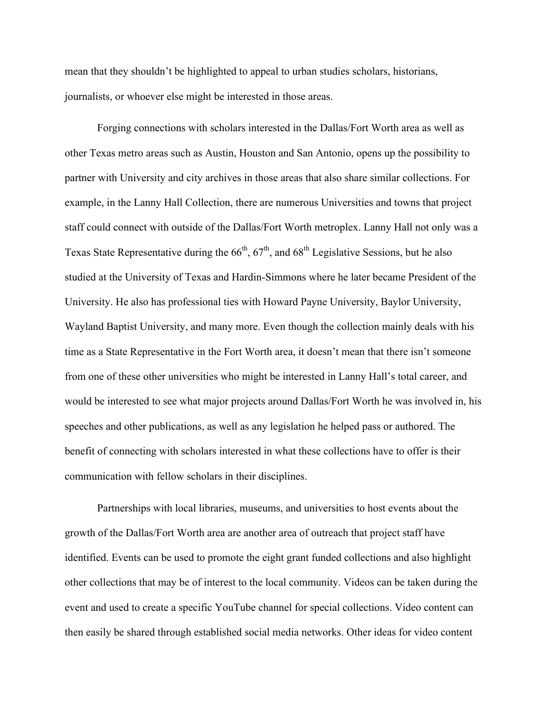mean that they shouldn't be highlighted to appeal to urban studies scholars, historians, journalists, or whoever else might be interested in those areas.

Forging connections with scholars interested in the Dallas/Fort Worth area as well as other Texas metro areas such as Austin, Houston and San Antonio, opens up the possibility to partner with University and city archives in those areas that also share similar collections. For example, in the Lanny Hall Collection, there are numerous Universities and towns that project staff could connect with outside of the Dallas/Fort Worth metroplex. Lanny Hall not only was a Texas State Representative during the  $66<sup>th</sup>$ ,  $67<sup>th</sup>$ , and  $68<sup>th</sup>$  Legislative Sessions, but he also studied at the University of Texas and Hardin-Simmons where he later became President of the University. He also has professional ties with Howard Payne University, Baylor University, Wayland Baptist University, and many more. Even though the collection mainly deals with his time as a State Representative in the Fort Worth area, it doesn't mean that there isn't someone from one of these other universities who might be interested in Lanny Hall's total career, and would be interested to see what major projects around Dallas/Fort Worth he was involved in, his speeches and other publications, as well as any legislation he helped pass or authored. The benefit of connecting with scholars interested in what these collections have to offer is their communication with fellow scholars in their disciplines.

Partnerships with local libraries, museums, and universities to host events about the growth of the Dallas/Fort Worth area are another area of outreach that project staff have identified. Events can be used to promote the eight grant funded collections and also highlight other collections that may be of interest to the local community. Videos can be taken during the event and used to create a specific YouTube channel for special collections. Video content can then easily be shared through established social media networks. Other ideas for video content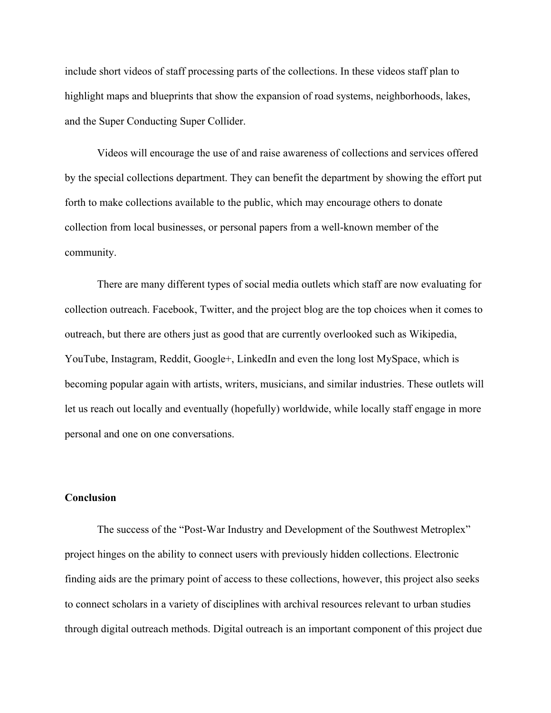include short videos of staff processing parts of the collections. In these videos staff plan to highlight maps and blueprints that show the expansion of road systems, neighborhoods, lakes, and the Super Conducting Super Collider.

Videos will encourage the use of and raise awareness of collections and services offered by the special collections department. They can benefit the department by showing the effort put forth to make collections available to the public, which may encourage others to donate collection from local businesses, or personal papers from a well-known member of the community.

There are many different types of social media outlets which staff are now evaluating for collection outreach. Facebook, Twitter, and the project blog are the top choices when it comes to outreach, but there are others just as good that are currently overlooked such as Wikipedia, YouTube, Instagram, Reddit, Google+, LinkedIn and even the long lost MySpace, which is becoming popular again with artists, writers, musicians, and similar industries. These outlets will let us reach out locally and eventually (hopefully) worldwide, while locally staff engage in more personal and one on one conversations.

# **Conclusion**

The success of the "Post-War Industry and Development of the Southwest Metroplex" project hinges on the ability to connect users with previously hidden collections. Electronic finding aids are the primary point of access to these collections, however, this project also seeks to connect scholars in a variety of disciplines with archival resources relevant to urban studies through digital outreach methods. Digital outreach is an important component of this project due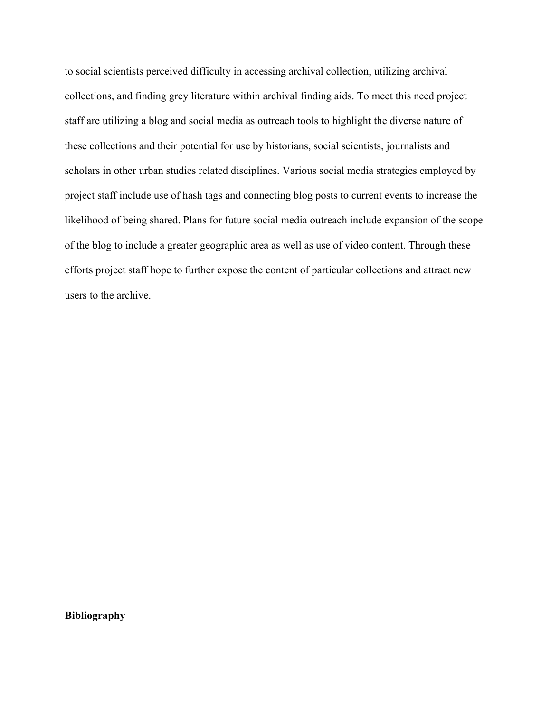to social scientists perceived difficulty in accessing archival collection, utilizing archival collections, and finding grey literature within archival finding aids. To meet this need project staff are utilizing a blog and social media as outreach tools to highlight the diverse nature of these collections and their potential for use by historians, social scientists, journalists and scholars in other urban studies related disciplines. Various social media strategies employed by project staff include use of hash tags and connecting blog posts to current events to increase the likelihood of being shared. Plans for future social media outreach include expansion of the scope of the blog to include a greater geographic area as well as use of video content. Through these efforts project staff hope to further expose the content of particular collections and attract new users to the archive.

**Bibliography**